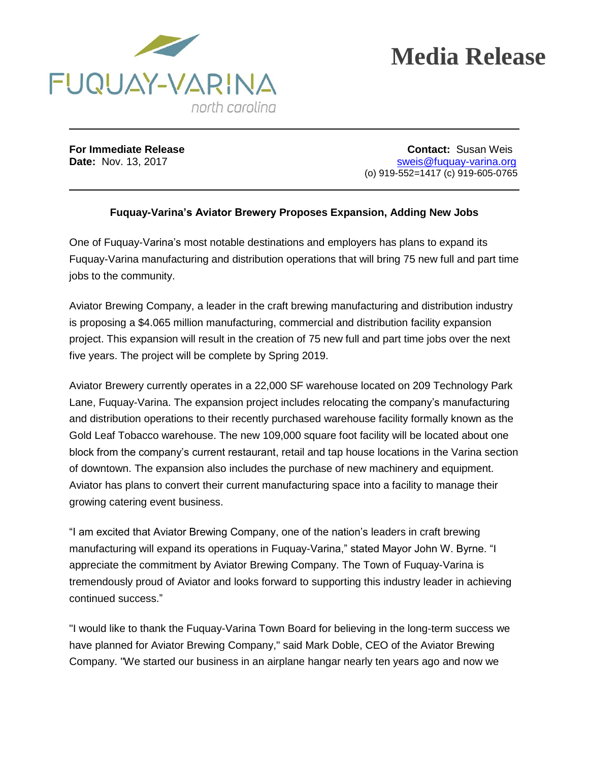



**For Immediate Release Contact:** Susan Weis **Date:** Nov. 13, 2017 **State:** Nov. 13, 2017 (o) 919-552=1417 (c) 919-605-0765

## **Fuquay-Varina's Aviator Brewery Proposes Expansion, Adding New Jobs**

One of Fuquay-Varina's most notable destinations and employers has plans to expand its Fuquay-Varina manufacturing and distribution operations that will bring 75 new full and part time jobs to the community.

Aviator Brewing Company, a leader in the craft brewing manufacturing and distribution industry is proposing a \$4.065 million manufacturing, commercial and distribution facility expansion project. This expansion will result in the creation of 75 new full and part time jobs over the next five years. The project will be complete by Spring 2019.

Aviator Brewery currently operates in a 22,000 SF warehouse located on 209 Technology Park Lane, Fuquay-Varina. The expansion project includes relocating the company's manufacturing and distribution operations to their recently purchased warehouse facility formally known as the Gold Leaf Tobacco warehouse. The new 109,000 square foot facility will be located about one block from the company's current restaurant, retail and tap house locations in the Varina section of downtown. The expansion also includes the purchase of new machinery and equipment. Aviator has plans to convert their current manufacturing space into a facility to manage their growing catering event business.

"I am excited that Aviator Brewing Company, one of the nation's leaders in craft brewing manufacturing will expand its operations in Fuquay-Varina," stated Mayor John W. Byrne. "I appreciate the commitment by Aviator Brewing Company. The Town of Fuquay-Varina is tremendously proud of Aviator and looks forward to supporting this industry leader in achieving continued success."

"I would like to thank the Fuquay-Varina Town Board for believing in the long-term success we have planned for Aviator Brewing Company," said Mark Doble, CEO of the Aviator Brewing Company. "We started our business in an airplane hangar nearly ten years ago and now we